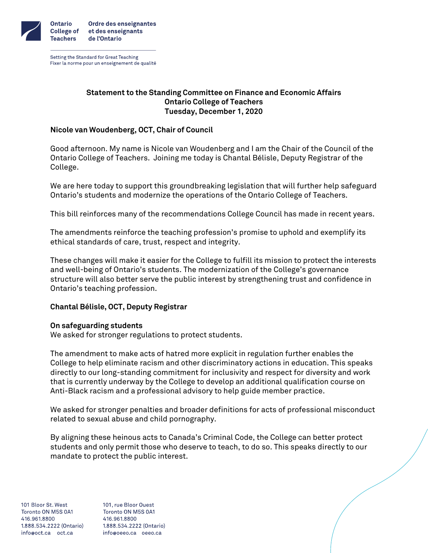

Setting the Standard for Great Teaching Fixer la norme pour un enseignement de qualité

# **Statement to the Standing Committee on Finance and Economic Affairs Ontario College of Teachers Tuesday, December 1, 2020**

# **Nicole van Woudenberg, OCT, Chair of Council**

Good afternoon. My name is Nicole van Woudenberg and I am the Chair of the Council of the Ontario College of Teachers. Joining me today is Chantal Bélisle, Deputy Registrar of the College.

We are here today to support this groundbreaking legislation that will further help safeguard Ontario's students and modernize the operations of the Ontario College of Teachers.

This bill reinforces many of the recommendations College Council has made in recent years.

The amendments reinforce the teaching profession's promise to uphold and exemplify its ethical standards of care, trust, respect and integrity.

These changes will make it easier for the College to fulfill its mission to protect the interests and well-being of Ontario's students. The modernization of the College's governance structure will also better serve the public interest by strengthening trust and confidence in Ontario's teaching profession.

# **Chantal Bélisle, OCT, Deputy Registrar**

### **On safeguarding students**

We asked for stronger regulations to protect students.

The amendment to make acts of hatred more explicit in regulation further enables the College to help eliminate racism and other discriminatory actions in education. This speaks directly to our long-standing commitment for inclusivity and respect for diversity and work that is currently underway by the College to develop an additional qualification course on Anti-Black racism and a professional advisory to help guide member practice.

We asked for stronger penalties and broader definitions for acts of professional misconduct related to sexual abuse and child pornography.

By aligning these heinous acts to Canada's Criminal Code, the College can better protect students and only permit those who deserve to teach, to do so. This speaks directly to our mandate to protect the public interest.

101 Bloor St. West Toronto ON M5S 0A1 416.961.8800 1,888,534,2222 (Ontario) info@oct.ca oct.ca

101, rue Bloor Ouest Toronto ON M5S 0A1 416.961.8800 1,888,534,2222 (Ontario) info@oeeo.ca oeeo.ca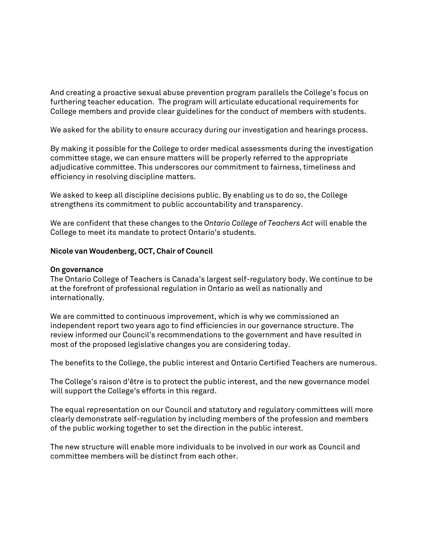And creating a proactive sexual abuse prevention program parallels the College's focus on furthering teacher education. The program will articulate educational requirements for College members and provide clear guidelines for the conduct of members with students.

We asked for the ability to ensure accuracy during our investigation and hearings process.

By making it possible for the College to order medical assessments during the investigation committee stage, we can ensure matters will be properly referred to the appropriate adjudicative committee. This underscores our commitment to fairness, timeliness and efficiency in resolving discipline matters.

We asked to keep all discipline decisions public. By enabling us to do so, the College strengthens its commitment to public accountability and transparency.

We are confident that these changes to the *Ontario College of Teachers Act* will enable the College to meet its mandate to protect Ontario's students.

#### **Nicole van Woudenberg, OCT, Chair of Council**

#### **On governance**

The Ontario College of Teachers is Canada's largest self-regulatory body. We continue to be at the forefront of professional regulation in Ontario as well as nationally and internationally.

We are committed to continuous improvement, which is why we commissioned an independent report two years ago to find efficiencies in our governance structure. The review informed our Council's recommendations to the government and have resulted in most of the proposed legislative changes you are considering today.

The benefits to the College, the public interest and Ontario Certified Teachers are numerous.

The College's raison d'être is to protect the public interest, and the new governance model will support the College's efforts in this regard.

The equal representation on our Council and statutory and regulatory committees will more clearly demonstrate self-regulation by including members of the profession and members of the public working together to set the direction in the public interest.

The new structure will enable more individuals to be involved in our work as Council and committee members will be distinct from each other.